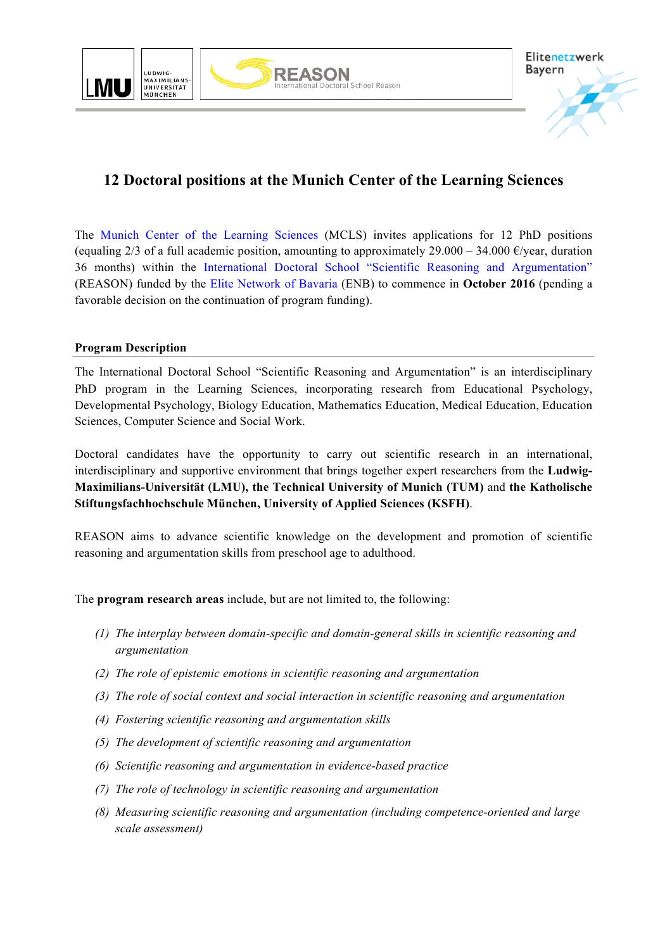



# **12 Doctoral positions at the Munich Center of the Learning Sciences**

The Munich Center of the Learning Sciences (MCLS) invites applications for 12 PhD positions (equaling 2/3 of a full academic position, amounting to approximately 29.000 – 34.000  $\epsilon$ /year, duration 36 months) within the International Doctoral School "Scientific Reasoning and Argumentation" (REASON) funded by the Elite Network of Bavaria (ENB) to commence in **October 2016** (pending a favorable decision on the continuation of program funding).

## **Program Description**

The International Doctoral School "Scientific Reasoning and Argumentation" is an interdisciplinary PhD program in the Learning Sciences, incorporating research from Educational Psychology, Developmental Psychology, Biology Education, Mathematics Education, Medical Education, Education Sciences, Computer Science and Social Work.

Doctoral candidates have the opportunity to carry out scientific research in an international, interdisciplinary and supportive environment that brings together expert researchers from the **Ludwig-Maximilians-Universität (LMU), the Technical University of Munich (TUM)** and **the Katholische Stiftungsfachhochschule München, University of Applied Sciences (KSFH)**.

REASON aims to advance scientific knowledge on the development and promotion of scientific reasoning and argumentation skills from preschool age to adulthood.

The **program research areas** include, but are not limited to, the following:

- *(1) The interplay between domain-specific and domain-general skills in scientific reasoning and argumentation*
- *(2) The role of epistemic emotions in scientific reasoning and argumentation*
- *(3) The role of social context and social interaction in scientific reasoning and argumentation*
- *(4) Fostering scientific reasoning and argumentation skills*
- *(5) The development of scientific reasoning and argumentation*
- *(6) Scientific reasoning and argumentation in evidence-based practice*
- *(7) The role of technology in scientific reasoning and argumentation*
- *(8) Measuring scientific reasoning and argumentation (including competence-oriented and large scale assessment)*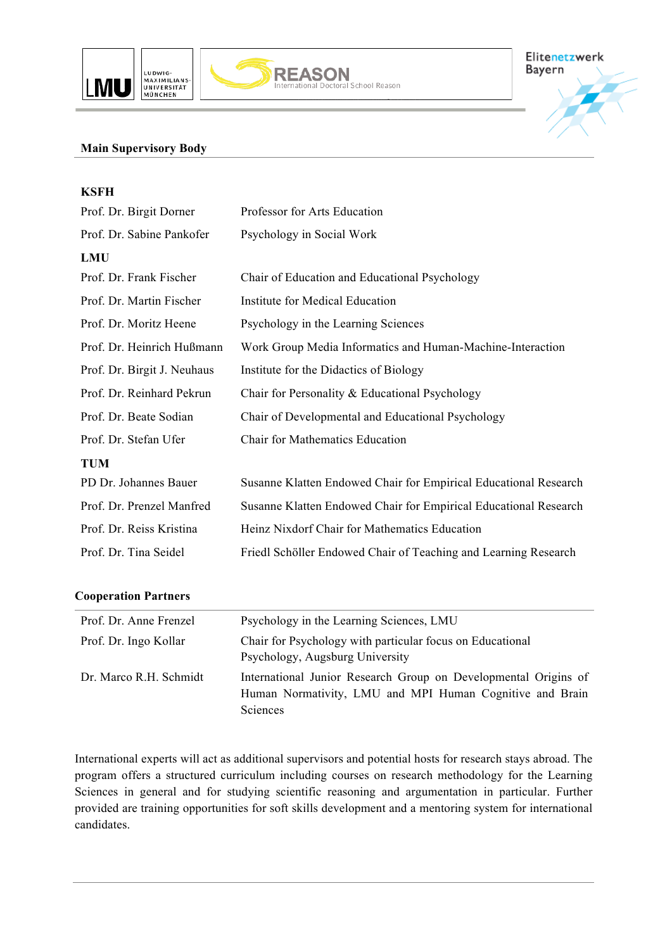





## **Main Supervisory Body**

| <b>KSFH</b>                 |                                                                  |
|-----------------------------|------------------------------------------------------------------|
| Prof. Dr. Birgit Dorner     | Professor for Arts Education                                     |
| Prof. Dr. Sabine Pankofer   | Psychology in Social Work                                        |
| <b>LMU</b>                  |                                                                  |
| Prof. Dr. Frank Fischer     | Chair of Education and Educational Psychology                    |
| Prof. Dr. Martin Fischer    | Institute for Medical Education                                  |
| Prof. Dr. Moritz Heene      | Psychology in the Learning Sciences                              |
| Prof. Dr. Heinrich Hußmann  | Work Group Media Informatics and Human-Machine-Interaction       |
| Prof. Dr. Birgit J. Neuhaus | Institute for the Didactics of Biology                           |
| Prof. Dr. Reinhard Pekrun   | Chair for Personality & Educational Psychology                   |
| Prof. Dr. Beate Sodian      | Chair of Developmental and Educational Psychology                |
| Prof. Dr. Stefan Ufer       | <b>Chair for Mathematics Education</b>                           |
| <b>TUM</b>                  |                                                                  |
| PD Dr. Johannes Bauer       | Susanne Klatten Endowed Chair for Empirical Educational Research |
| Prof. Dr. Prenzel Manfred   | Susanne Klatten Endowed Chair for Empirical Educational Research |
| Prof. Dr. Reiss Kristina    | Heinz Nixdorf Chair for Mathematics Education                    |
| Prof. Dr. Tina Seidel       | Friedl Schöller Endowed Chair of Teaching and Learning Research  |
|                             |                                                                  |

**REASON**<br>International Doctoral School Reason

#### **Cooperation Partners**

| Prof. Dr. Anne Frenzel | Psychology in the Learning Sciences, LMU                                                                                                       |
|------------------------|------------------------------------------------------------------------------------------------------------------------------------------------|
| Prof. Dr. Ingo Kollar  | Chair for Psychology with particular focus on Educational<br>Psychology, Augsburg University                                                   |
| Dr. Marco R.H. Schmidt | International Junior Research Group on Developmental Origins of<br>Human Normativity, LMU and MPI Human Cognitive and Brain<br><b>Sciences</b> |

International experts will act as additional supervisors and potential hosts for research stays abroad. The program offers a structured curriculum including courses on research methodology for the Learning Sciences in general and for studying scientific reasoning and argumentation in particular. Further provided are training opportunities for soft skills development and a mentoring system for international candidates.